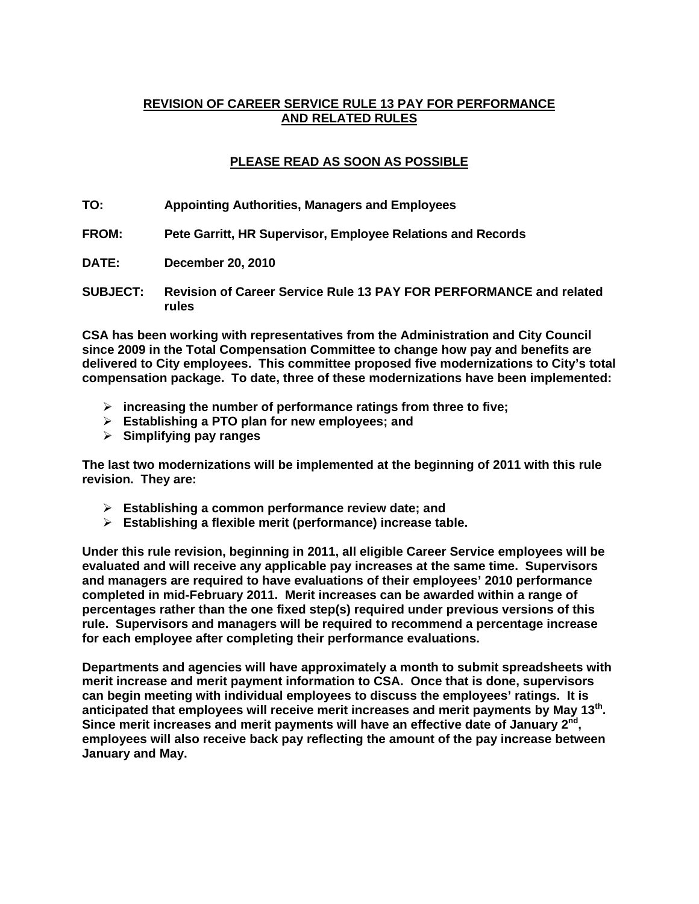# **REVISION OF CAREER SERVICE RULE 13 PAY FOR PERFORMANCE AND RELATED RULES**

# **PLEASE READ AS SOON AS POSSIBLE**

- **TO: Appointing Authorities, Managers and Employees**
- **FROM: Pete Garritt, HR Supervisor, Employee Relations and Records**
- **DATE: December 20, 2010**
- **SUBJECT: Revision of Career Service Rule 13 PAY FOR PERFORMANCE and related rules**

**CSA has been working with representatives from the Administration and City Council since 2009 in the Total Compensation Committee to change how pay and benefits are delivered to City employees. This committee proposed five modernizations to City's total compensation package. To date, three of these modernizations have been implemented:** 

- ¾ **increasing the number of performance ratings from three to five;**
- ¾ **Establishing a PTO plan for new employees; and**
- ¾ **Simplifying pay ranges**

**The last two modernizations will be implemented at the beginning of 2011 with this rule revision. They are:** 

- ¾ **Establishing a common performance review date; and**
- ¾ **Establishing a flexible merit (performance) increase table.**

**Under this rule revision, beginning in 2011, all eligible Career Service employees will be evaluated and will receive any applicable pay increases at the same time. Supervisors and managers are required to have evaluations of their employees' 2010 performance completed in mid-February 2011. Merit increases can be awarded within a range of percentages rather than the one fixed step(s) required under previous versions of this rule. Supervisors and managers will be required to recommend a percentage increase for each employee after completing their performance evaluations.** 

**Departments and agencies will have approximately a month to submit spreadsheets with merit increase and merit payment information to CSA. Once that is done, supervisors can begin meeting with individual employees to discuss the employees' ratings. It is anticipated that employees will receive merit increases and merit payments by May 13th. Since merit increases and merit payments will have an effective date of January 2nd, employees will also receive back pay reflecting the amount of the pay increase between January and May.**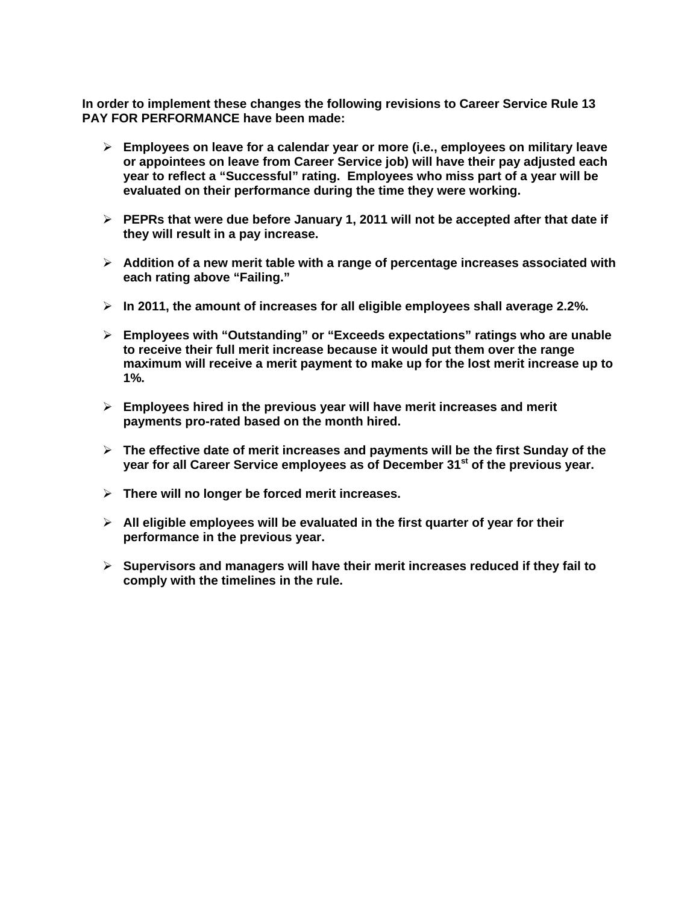**In order to implement these changes the following revisions to Career Service Rule 13 PAY FOR PERFORMANCE have been made:** 

- ¾ **Employees on leave for a calendar year or more (i.e., employees on military leave or appointees on leave from Career Service job) will have their pay adjusted each year to reflect a "Successful" rating. Employees who miss part of a year will be evaluated on their performance during the time they were working.**
- ¾ **PEPRs that were due before January 1, 2011 will not be accepted after that date if they will result in a pay increase.**
- ¾ **Addition of a new merit table with a range of percentage increases associated with each rating above "Failing."**
- ¾ **In 2011, the amount of increases for all eligible employees shall average 2.2%.**
- ¾ **Employees with "Outstanding" or "Exceeds expectations" ratings who are unable to receive their full merit increase because it would put them over the range maximum will receive a merit payment to make up for the lost merit increase up to 1%.**
- ¾ **Employees hired in the previous year will have merit increases and merit payments pro-rated based on the month hired.**
- ¾ **The effective date of merit increases and payments will be the first Sunday of the year for all Career Service employees as of December 31st of the previous year.**
- ¾ **There will no longer be forced merit increases.**
- ¾ **All eligible employees will be evaluated in the first quarter of year for their performance in the previous year.**
- ¾ **Supervisors and managers will have their merit increases reduced if they fail to comply with the timelines in the rule.**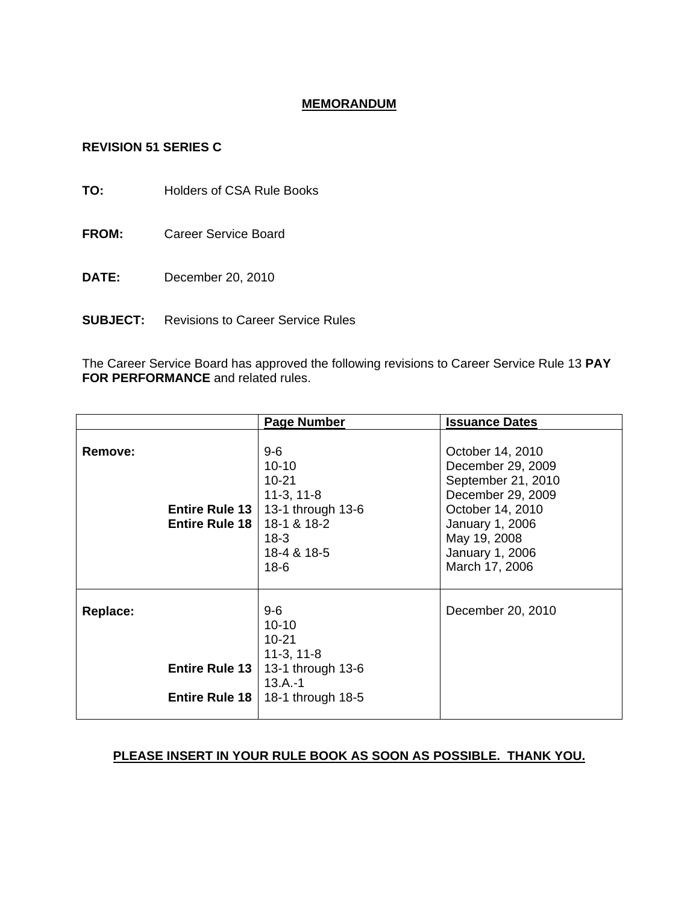# **MEMORANDUM**

# **REVISION 51 SERIES C**

**TO:** Holders of CSA Rule Books

- **FROM:** Career Service Board
- **DATE:** December 20, 2010
- **SUBJECT:** Revisions to Career Service Rules

The Career Service Board has approved the following revisions to Career Service Rule 13 **PAY FOR PERFORMANCE** and related rules.

|                                                            | <b>Page Number</b>                                                                                                     | <b>Issuance Dates</b>                                                                                                                                                        |
|------------------------------------------------------------|------------------------------------------------------------------------------------------------------------------------|------------------------------------------------------------------------------------------------------------------------------------------------------------------------------|
| Remove:<br><b>Entire Rule 13</b><br><b>Entire Rule 18</b>  | $9-6$<br>$10 - 10$<br>$10 - 21$<br>$11-3, 11-8$<br>13-1 through 13-6<br>18-1 & 18-2<br>$18-3$<br>18-4 & 18-5<br>$18-6$ | October 14, 2010<br>December 29, 2009<br>September 21, 2010<br>December 29, 2009<br>October 14, 2010<br>January 1, 2006<br>May 19, 2008<br>January 1, 2006<br>March 17, 2006 |
| <b>Replace:</b><br>Entire Rule 13<br><b>Entire Rule 18</b> | $9-6$<br>$10 - 10$<br>$10 - 21$<br>$11-3, 11-8$<br>13-1 through 13-6<br>$13.A.-1$<br>18-1 through 18-5                 | December 20, 2010                                                                                                                                                            |

# **PLEASE INSERT IN YOUR RULE BOOK AS SOON AS POSSIBLE. THANK YOU.**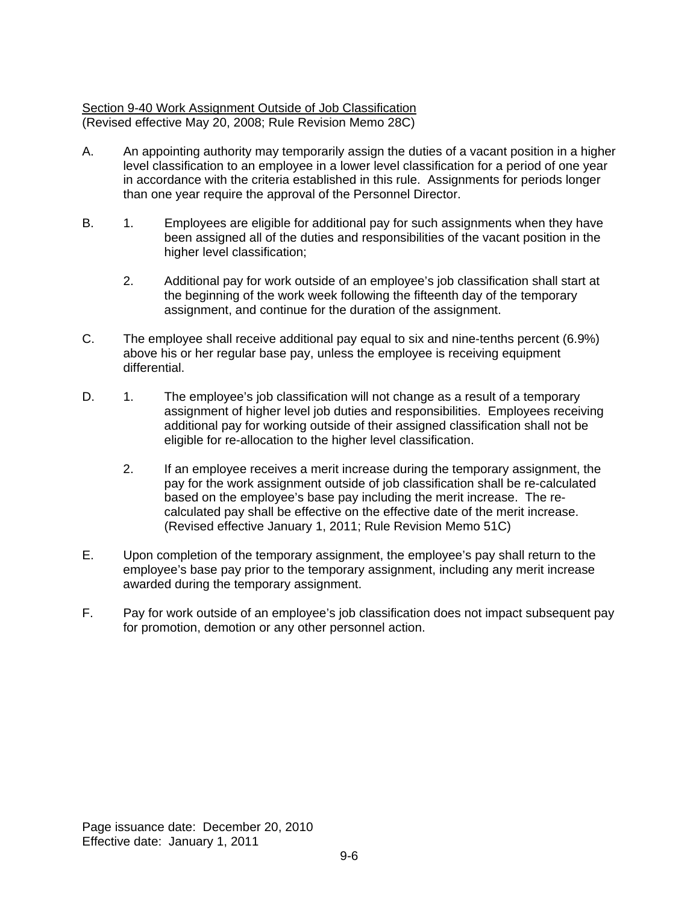# Section 9-40 Work Assignment Outside of Job Classification (Revised effective May 20, 2008; Rule Revision Memo 28C)

- A. An appointing authority may temporarily assign the duties of a vacant position in a higher level classification to an employee in a lower level classification for a period of one year in accordance with the criteria established in this rule. Assignments for periods longer than one year require the approval of the Personnel Director.
- B. 1. Employees are eligible for additional pay for such assignments when they have been assigned all of the duties and responsibilities of the vacant position in the higher level classification;
	- 2. Additional pay for work outside of an employee's job classification shall start at the beginning of the work week following the fifteenth day of the temporary assignment, and continue for the duration of the assignment.
- C. The employee shall receive additional pay equal to six and nine-tenths percent (6.9%) above his or her regular base pay, unless the employee is receiving equipment differential.
- D. 1. The employee's job classification will not change as a result of a temporary assignment of higher level job duties and responsibilities. Employees receiving additional pay for working outside of their assigned classification shall not be eligible for re-allocation to the higher level classification.
	- 2. If an employee receives a merit increase during the temporary assignment, the pay for the work assignment outside of job classification shall be re-calculated based on the employee's base pay including the merit increase. The recalculated pay shall be effective on the effective date of the merit increase. (Revised effective January 1, 2011; Rule Revision Memo 51C)
- E. Upon completion of the temporary assignment, the employee's pay shall return to the employee's base pay prior to the temporary assignment, including any merit increase awarded during the temporary assignment.
- F. Pay for work outside of an employee's job classification does not impact subsequent pay for promotion, demotion or any other personnel action.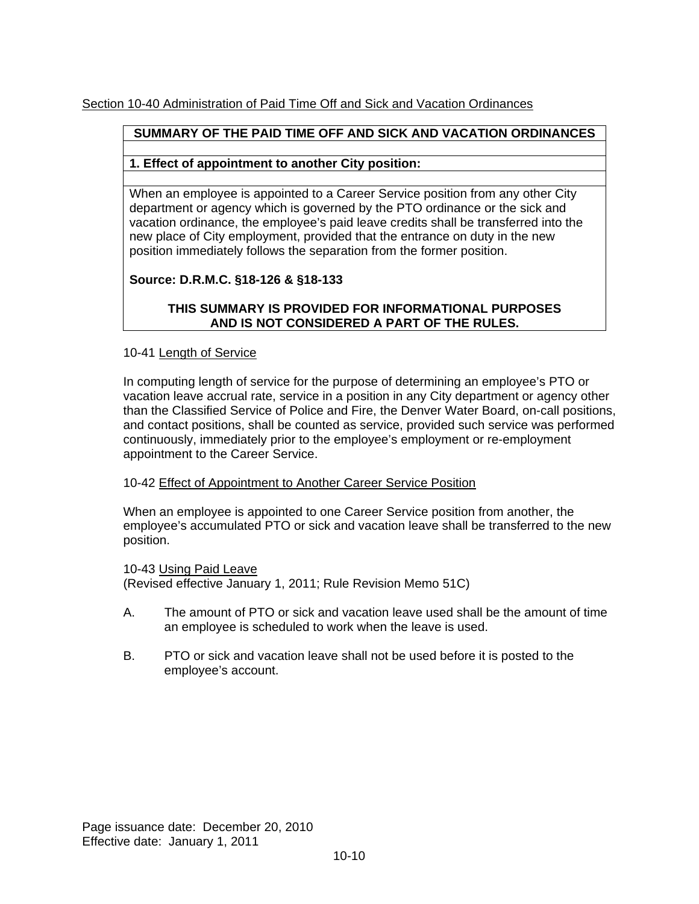# Section 10-40 Administration of Paid Time Off and Sick and Vacation Ordinances

# **SUMMARY OF THE PAID TIME OFF AND SICK AND VACATION ORDINANCES**

# **1. Effect of appointment to another City position:**

When an employee is appointed to a Career Service position from any other City department or agency which is governed by the PTO ordinance or the sick and vacation ordinance, the employee's paid leave credits shall be transferred into the new place of City employment, provided that the entrance on duty in the new position immediately follows the separation from the former position.

# **Source: D.R.M.C. §18-126 & §18-133**

# **THIS SUMMARY IS PROVIDED FOR INFORMATIONAL PURPOSES AND IS NOT CONSIDERED A PART OF THE RULES.**

### 10-41 Length of Service

In computing length of service for the purpose of determining an employee's PTO or vacation leave accrual rate, service in a position in any City department or agency other than the Classified Service of Police and Fire, the Denver Water Board, on-call positions, and contact positions, shall be counted as service, provided such service was performed continuously, immediately prior to the employee's employment or re-employment appointment to the Career Service.

#### 10-42 Effect of Appointment to Another Career Service Position

When an employee is appointed to one Career Service position from another, the employee's accumulated PTO or sick and vacation leave shall be transferred to the new position.

10-43 Using Paid Leave (Revised effective January 1, 2011; Rule Revision Memo 51C)

- A. The amount of PTO or sick and vacation leave used shall be the amount of time an employee is scheduled to work when the leave is used.
- B. PTO or sick and vacation leave shall not be used before it is posted to the employee's account.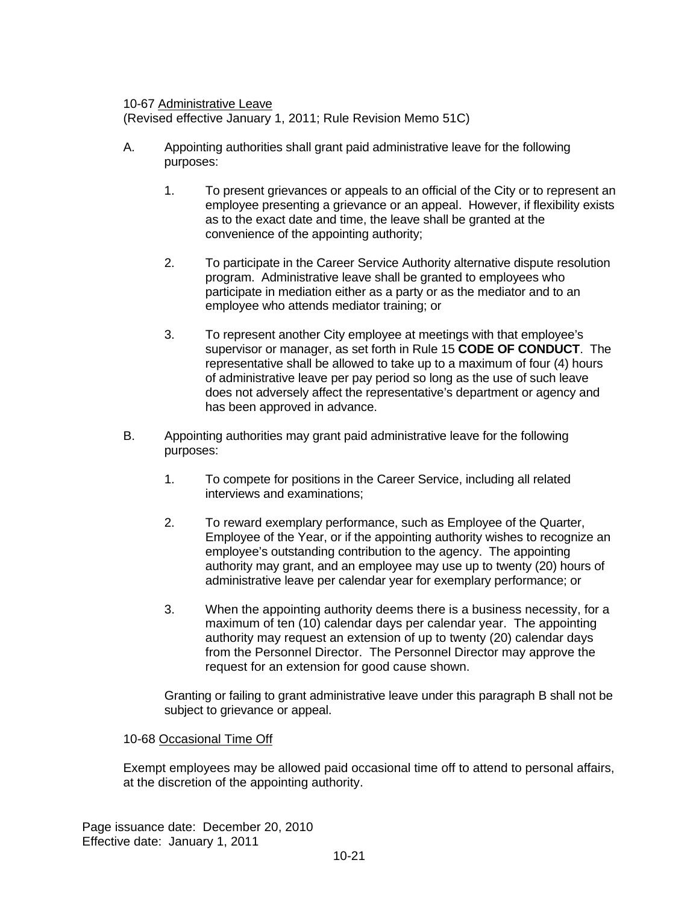### 10-67 Administrative Leave

(Revised effective January 1, 2011; Rule Revision Memo 51C)

- A. Appointing authorities shall grant paid administrative leave for the following purposes:
	- 1. To present grievances or appeals to an official of the City or to represent an employee presenting a grievance or an appeal. However, if flexibility exists as to the exact date and time, the leave shall be granted at the convenience of the appointing authority;
	- 2. To participate in the Career Service Authority alternative dispute resolution program. Administrative leave shall be granted to employees who participate in mediation either as a party or as the mediator and to an employee who attends mediator training; or
	- 3. To represent another City employee at meetings with that employee's supervisor or manager, as set forth in Rule 15 **CODE OF CONDUCT**. The representative shall be allowed to take up to a maximum of four (4) hours of administrative leave per pay period so long as the use of such leave does not adversely affect the representative's department or agency and has been approved in advance.
- B. Appointing authorities may grant paid administrative leave for the following purposes:
	- 1. To compete for positions in the Career Service, including all related interviews and examinations;
	- 2. To reward exemplary performance, such as Employee of the Quarter, Employee of the Year, or if the appointing authority wishes to recognize an employee's outstanding contribution to the agency. The appointing authority may grant, and an employee may use up to twenty (20) hours of administrative leave per calendar year for exemplary performance; or
	- 3. When the appointing authority deems there is a business necessity, for a maximum of ten (10) calendar days per calendar year. The appointing authority may request an extension of up to twenty (20) calendar days from the Personnel Director. The Personnel Director may approve the request for an extension for good cause shown.

Granting or failing to grant administrative leave under this paragraph B shall not be subject to grievance or appeal.

# 10-68 Occasional Time Off

Exempt employees may be allowed paid occasional time off to attend to personal affairs, at the discretion of the appointing authority.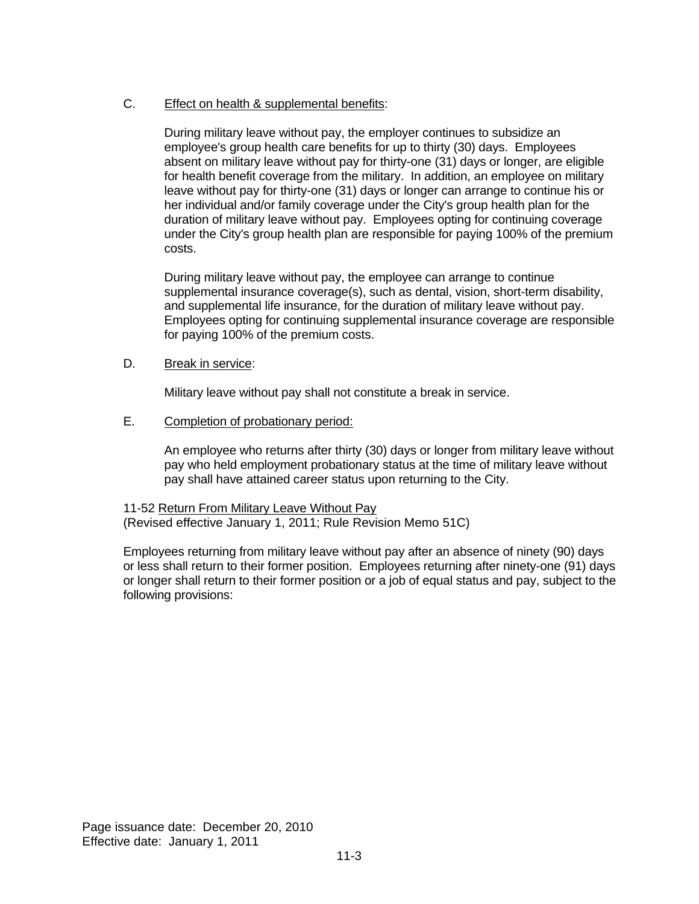# C. Effect on health & supplemental benefits:

During military leave without pay, the employer continues to subsidize an employee's group health care benefits for up to thirty (30) days. Employees absent on military leave without pay for thirty-one (31) days or longer, are eligible for health benefit coverage from the military. In addition, an employee on military leave without pay for thirty-one (31) days or longer can arrange to continue his or her individual and/or family coverage under the City's group health plan for the duration of military leave without pay. Employees opting for continuing coverage under the City's group health plan are responsible for paying 100% of the premium costs.

During military leave without pay, the employee can arrange to continue supplemental insurance coverage(s), such as dental, vision, short-term disability, and supplemental life insurance, for the duration of military leave without pay. Employees opting for continuing supplemental insurance coverage are responsible for paying 100% of the premium costs.

### D. Break in service:

Military leave without pay shall not constitute a break in service.

E. Completion of probationary period:

An employee who returns after thirty (30) days or longer from military leave without pay who held employment probationary status at the time of military leave without pay shall have attained career status upon returning to the City.

11-52 Return From Military Leave Without Pay (Revised effective January 1, 2011; Rule Revision Memo 51C)

Employees returning from military leave without pay after an absence of ninety (90) days or less shall return to their former position. Employees returning after ninety-one (91) days or longer shall return to their former position or a job of equal status and pay, subject to the following provisions: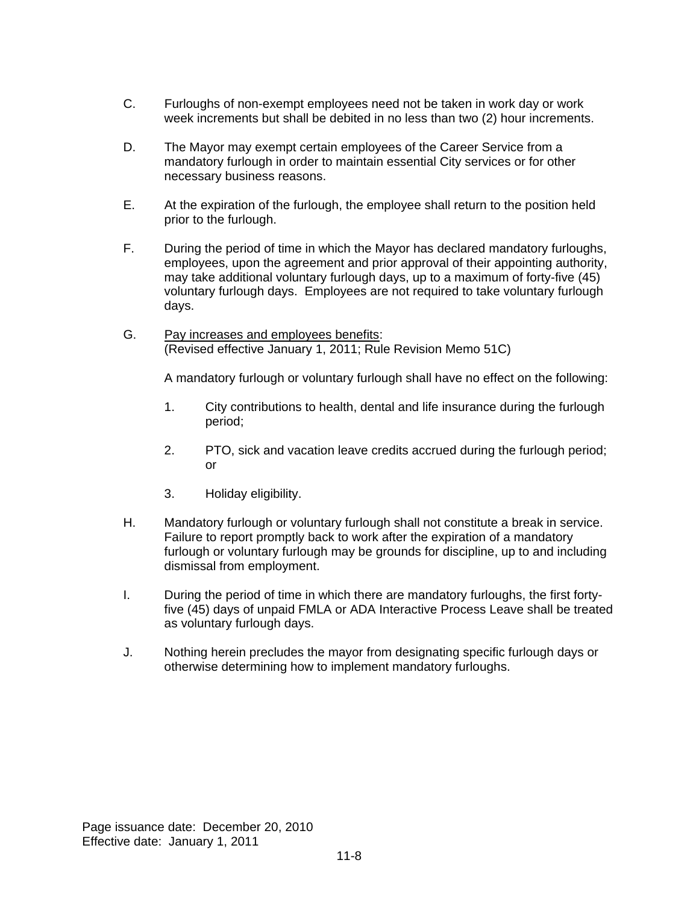- C. Furloughs of non-exempt employees need not be taken in work day or work week increments but shall be debited in no less than two (2) hour increments.
- D. The Mayor may exempt certain employees of the Career Service from a mandatory furlough in order to maintain essential City services or for other necessary business reasons.
- E. At the expiration of the furlough, the employee shall return to the position held prior to the furlough.
- F. During the period of time in which the Mayor has declared mandatory furloughs, employees, upon the agreement and prior approval of their appointing authority, may take additional voluntary furlough days, up to a maximum of forty-five (45) voluntary furlough days. Employees are not required to take voluntary furlough days.
- G. Pay increases and employees benefits: (Revised effective January 1, 2011; Rule Revision Memo 51C)

A mandatory furlough or voluntary furlough shall have no effect on the following:

- 1. City contributions to health, dental and life insurance during the furlough period;
- 2. PTO, sick and vacation leave credits accrued during the furlough period; or
- 3. Holiday eligibility.
- H. Mandatory furlough or voluntary furlough shall not constitute a break in service. Failure to report promptly back to work after the expiration of a mandatory furlough or voluntary furlough may be grounds for discipline, up to and including dismissal from employment.
- I. During the period of time in which there are mandatory furloughs, the first fortyfive (45) days of unpaid FMLA or ADA Interactive Process Leave shall be treated as voluntary furlough days.
- J. Nothing herein precludes the mayor from designating specific furlough days or otherwise determining how to implement mandatory furloughs.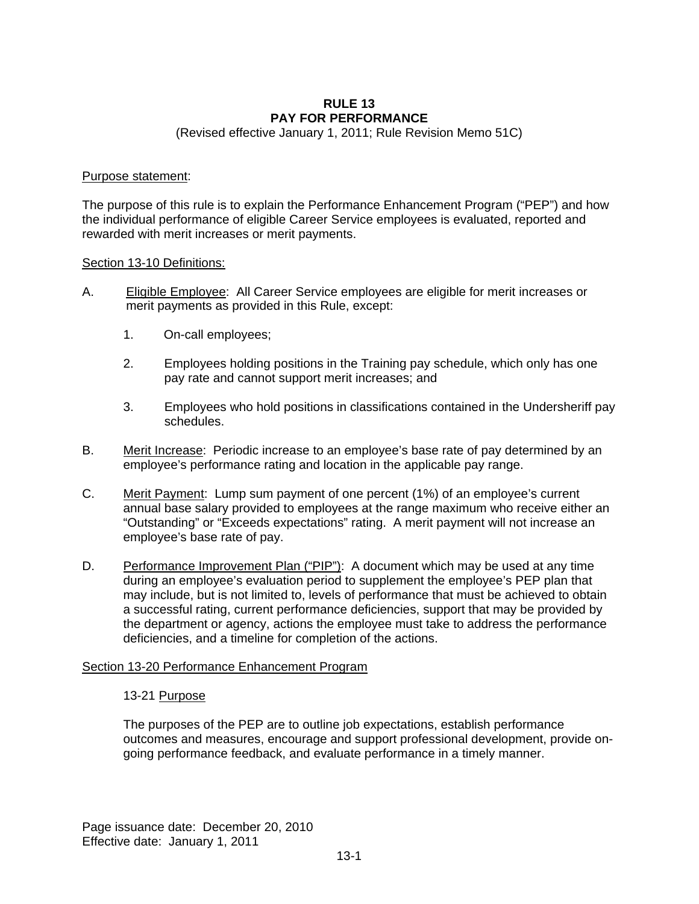#### **RULE 13 PAY FOR PERFORMANCE**

(Revised effective January 1, 2011; Rule Revision Memo 51C)

#### Purpose statement:

The purpose of this rule is to explain the Performance Enhancement Program ("PEP") and how the individual performance of eligible Career Service employees is evaluated, reported and rewarded with merit increases or merit payments.

#### Section 13-10 Definitions:

- A. Eligible Employee: All Career Service employees are eligible for merit increases or merit payments as provided in this Rule, except:
	- 1. On-call employees;
	- 2. Employees holding positions in the Training pay schedule, which only has one pay rate and cannot support merit increases; and
	- 3. Employees who hold positions in classifications contained in the Undersheriff pay schedules.
- B. Merit Increase: Periodic increase to an employee's base rate of pay determined by an employee's performance rating and location in the applicable pay range.
- C. Merit Payment: Lump sum payment of one percent (1%) of an employee's current annual base salary provided to employees at the range maximum who receive either an "Outstanding" or "Exceeds expectations" rating. A merit payment will not increase an employee's base rate of pay.
- D. Performance Improvement Plan ("PIP"): A document which may be used at any time during an employee's evaluation period to supplement the employee's PEP plan that may include, but is not limited to, levels of performance that must be achieved to obtain a successful rating, current performance deficiencies, support that may be provided by the department or agency, actions the employee must take to address the performance deficiencies, and a timeline for completion of the actions.

# Section 13-20 Performance Enhancement Program

#### 13-21 Purpose

The purposes of the PEP are to outline job expectations, establish performance outcomes and measures, encourage and support professional development, provide ongoing performance feedback, and evaluate performance in a timely manner.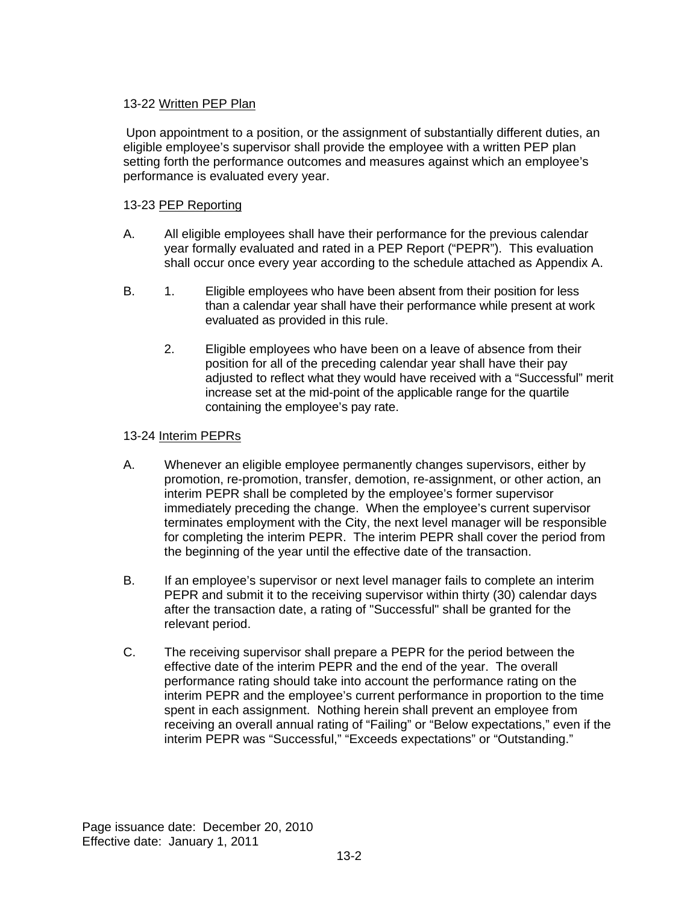# 13-22 Written PEP Plan

Upon appointment to a position, or the assignment of substantially different duties, an eligible employee's supervisor shall provide the employee with a written PEP plan setting forth the performance outcomes and measures against which an employee's performance is evaluated every year.

# 13-23 PEP Reporting

- A. All eligible employees shall have their performance for the previous calendar year formally evaluated and rated in a PEP Report ("PEPR"). This evaluation shall occur once every year according to the schedule attached as Appendix A.
- B. 1. Eligible employees who have been absent from their position for less than a calendar year shall have their performance while present at work evaluated as provided in this rule.
	- 2. Eligible employees who have been on a leave of absence from their position for all of the preceding calendar year shall have their pay adjusted to reflect what they would have received with a "Successful" merit increase set at the mid-point of the applicable range for the quartile containing the employee's pay rate.

# 13-24 Interim PEPRs

- A. Whenever an eligible employee permanently changes supervisors, either by promotion, re-promotion, transfer, demotion, re-assignment, or other action, an interim PEPR shall be completed by the employee's former supervisor immediately preceding the change. When the employee's current supervisor terminates employment with the City, the next level manager will be responsible for completing the interim PEPR. The interim PEPR shall cover the period from the beginning of the year until the effective date of the transaction.
- B. If an employee's supervisor or next level manager fails to complete an interim PEPR and submit it to the receiving supervisor within thirty (30) calendar days after the transaction date, a rating of "Successful" shall be granted for the relevant period.
- C. The receiving supervisor shall prepare a PEPR for the period between the effective date of the interim PEPR and the end of the year. The overall performance rating should take into account the performance rating on the interim PEPR and the employee's current performance in proportion to the time spent in each assignment. Nothing herein shall prevent an employee from receiving an overall annual rating of "Failing" or "Below expectations," even if the interim PEPR was "Successful," "Exceeds expectations" or "Outstanding."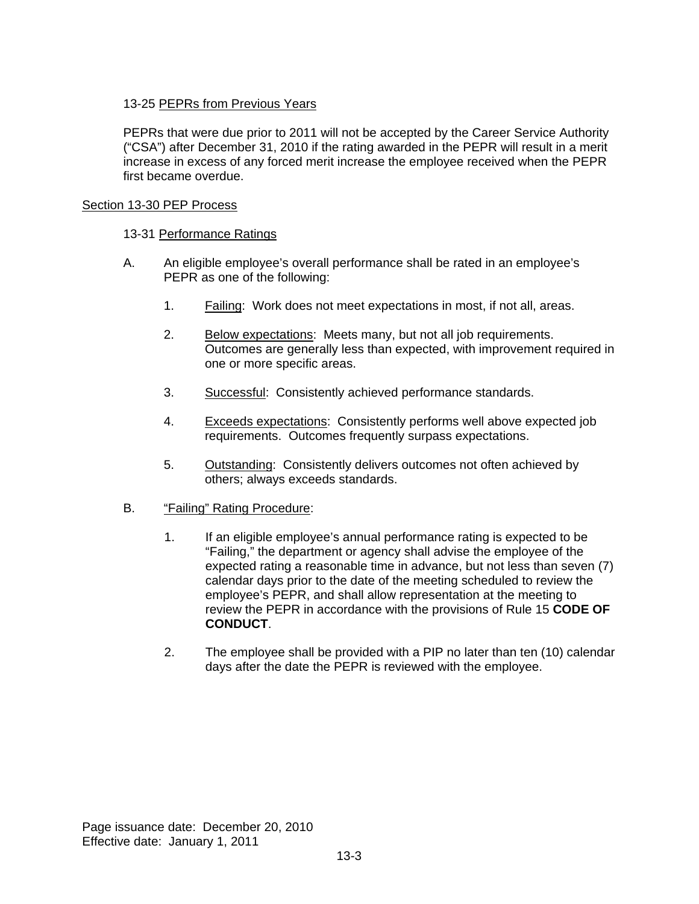# 13-25 PEPRs from Previous Years

PEPRs that were due prior to 2011 will not be accepted by the Career Service Authority ("CSA") after December 31, 2010 if the rating awarded in the PEPR will result in a merit increase in excess of any forced merit increase the employee received when the PEPR first became overdue.

# Section 13-30 PEP Process

# 13-31 Performance Ratings

- A. An eligible employee's overall performance shall be rated in an employee's PEPR as one of the following:
	- 1. Failing: Work does not meet expectations in most, if not all, areas.
	- 2. Below expectations: Meets many, but not all job requirements. Outcomes are generally less than expected, with improvement required in one or more specific areas.
	- 3. Successful: Consistently achieved performance standards.
	- 4. Exceeds expectations: Consistently performs well above expected job requirements. Outcomes frequently surpass expectations.
	- 5. Outstanding: Consistently delivers outcomes not often achieved by others; always exceeds standards.

# B. "Failing" Rating Procedure:

- 1. If an eligible employee's annual performance rating is expected to be "Failing," the department or agency shall advise the employee of the expected rating a reasonable time in advance, but not less than seven (7) calendar days prior to the date of the meeting scheduled to review the employee's PEPR, and shall allow representation at the meeting to review the PEPR in accordance with the provisions of Rule 15 **CODE OF CONDUCT**.
- 2. The employee shall be provided with a PIP no later than ten (10) calendar days after the date the PEPR is reviewed with the employee.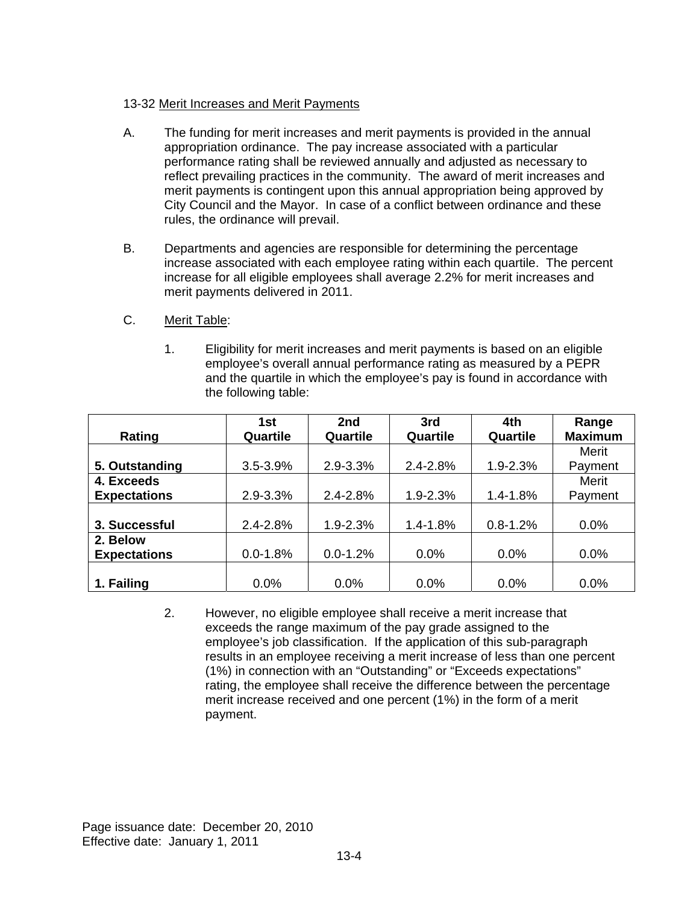# 13-32 Merit Increases and Merit Payments

- A. The funding for merit increases and merit payments is provided in the annual appropriation ordinance. The pay increase associated with a particular performance rating shall be reviewed annually and adjusted as necessary to reflect prevailing practices in the community. The award of merit increases and merit payments is contingent upon this annual appropriation being approved by City Council and the Mayor. In case of a conflict between ordinance and these rules, the ordinance will prevail.
- B. Departments and agencies are responsible for determining the percentage increase associated with each employee rating within each quartile. The percent increase for all eligible employees shall average 2.2% for merit increases and merit payments delivered in 2011.
- C. Merit Table:
	- 1. Eligibility for merit increases and merit payments is based on an eligible employee's overall annual performance rating as measured by a PEPR and the quartile in which the employee's pay is found in accordance with the following table:

|                     | 1st          | 2nd          | 3rd          | 4th          | Range          |
|---------------------|--------------|--------------|--------------|--------------|----------------|
| Rating              | Quartile     | Quartile     | Quartile     | Quartile     | <b>Maximum</b> |
|                     |              |              |              |              | Merit          |
| 5. Outstanding      | $3.5 - 3.9%$ | $2.9 - 3.3%$ | $2.4 - 2.8%$ | $1.9 - 2.3%$ | Payment        |
| 4. Exceeds          |              |              |              |              | Merit          |
| <b>Expectations</b> | $2.9 - 3.3%$ | $2.4 - 2.8%$ | $1.9 - 2.3%$ | $1.4 - 1.8%$ | Payment        |
|                     |              |              |              |              |                |
| 3. Successful       | $2.4 - 2.8%$ | 1.9-2.3%     | $1.4 - 1.8%$ | $0.8 - 1.2%$ | 0.0%           |
| 2. Below            |              |              |              |              |                |
| <b>Expectations</b> | $0.0 - 1.8%$ | $0.0 - 1.2%$ | 0.0%         | 0.0%         | 0.0%           |
|                     |              |              |              |              |                |
| 1. Failing          | 0.0%         | 0.0%         | 0.0%         | 0.0%         | 0.0%           |

2. However, no eligible employee shall receive a merit increase that exceeds the range maximum of the pay grade assigned to the employee's job classification. If the application of this sub-paragraph results in an employee receiving a merit increase of less than one percent (1%) in connection with an "Outstanding" or "Exceeds expectations" rating, the employee shall receive the difference between the percentage merit increase received and one percent (1%) in the form of a merit payment.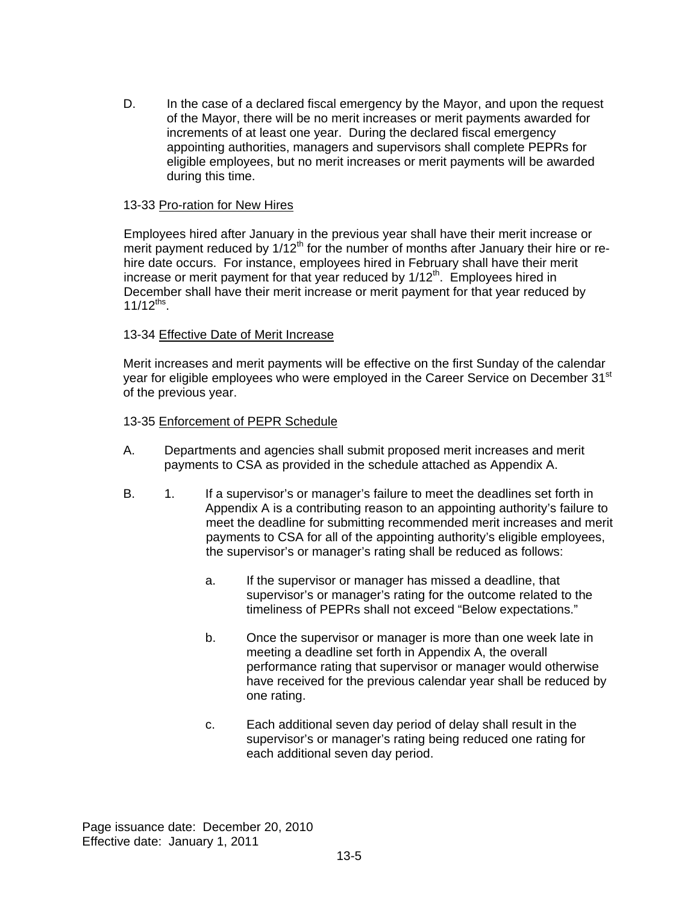D. In the case of a declared fiscal emergency by the Mayor, and upon the request of the Mayor, there will be no merit increases or merit payments awarded for increments of at least one year. During the declared fiscal emergency appointing authorities, managers and supervisors shall complete PEPRs for eligible employees, but no merit increases or merit payments will be awarded during this time.

### 13-33 Pro-ration for New Hires

Employees hired after January in the previous year shall have their merit increase or merit payment reduced by  $1/12<sup>th</sup>$  for the number of months after January their hire or rehire date occurs. For instance, employees hired in February shall have their merit increase or merit payment for that year reduced by  $1/12<sup>th</sup>$ . Employees hired in December shall have their merit increase or merit payment for that year reduced by  $11/12^{ths}$ .

# 13-34 Effective Date of Merit Increase

Merit increases and merit payments will be effective on the first Sunday of the calendar year for eligible employees who were employed in the Career Service on December 31<sup>st</sup> of the previous year.

### 13-35 Enforcement of PEPR Schedule

- A. Departments and agencies shall submit proposed merit increases and merit payments to CSA as provided in the schedule attached as Appendix A.
- B. 1. If a supervisor's or manager's failure to meet the deadlines set forth in Appendix A is a contributing reason to an appointing authority's failure to meet the deadline for submitting recommended merit increases and merit payments to CSA for all of the appointing authority's eligible employees, the supervisor's or manager's rating shall be reduced as follows:
	- a. If the supervisor or manager has missed a deadline, that supervisor's or manager's rating for the outcome related to the timeliness of PEPRs shall not exceed "Below expectations."
	- b. Once the supervisor or manager is more than one week late in meeting a deadline set forth in Appendix A, the overall performance rating that supervisor or manager would otherwise have received for the previous calendar year shall be reduced by one rating.
	- c. Each additional seven day period of delay shall result in the supervisor's or manager's rating being reduced one rating for each additional seven day period.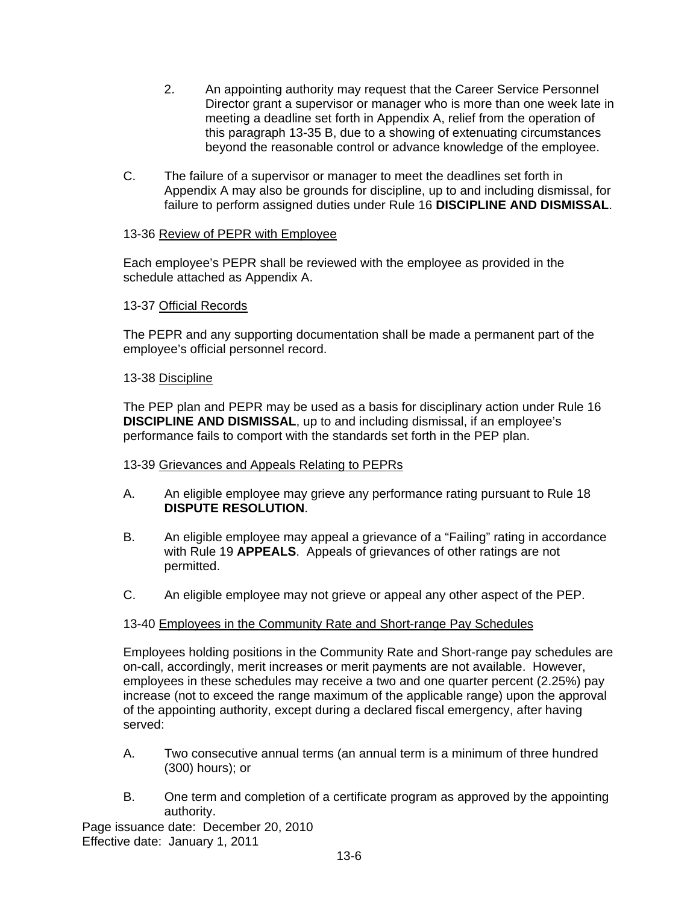- 2. An appointing authority may request that the Career Service Personnel Director grant a supervisor or manager who is more than one week late in meeting a deadline set forth in Appendix A, relief from the operation of this paragraph 13-35 B, due to a showing of extenuating circumstances beyond the reasonable control or advance knowledge of the employee.
- C. The failure of a supervisor or manager to meet the deadlines set forth in Appendix A may also be grounds for discipline, up to and including dismissal, for failure to perform assigned duties under Rule 16 **DISCIPLINE AND DISMISSAL**.

# 13-36 Review of PEPR with Employee

Each employee's PEPR shall be reviewed with the employee as provided in the schedule attached as Appendix A.

### 13-37 Official Records

The PEPR and any supporting documentation shall be made a permanent part of the employee's official personnel record.

#### 13-38 Discipline

The PEP plan and PEPR may be used as a basis for disciplinary action under Rule 16 **DISCIPLINE AND DISMISSAL**, up to and including dismissal, if an employee's performance fails to comport with the standards set forth in the PEP plan.

#### 13-39 Grievances and Appeals Relating to PEPRs

- A. An eligible employee may grieve any performance rating pursuant to Rule 18 **DISPUTE RESOLUTION**.
- B. An eligible employee may appeal a grievance of a "Failing" rating in accordance with Rule 19 **APPEALS**. Appeals of grievances of other ratings are not permitted.
- C. An eligible employee may not grieve or appeal any other aspect of the PEP.

#### 13-40 Employees in the Community Rate and Short-range Pay Schedules

Employees holding positions in the Community Rate and Short-range pay schedules are on-call, accordingly, merit increases or merit payments are not available. However, employees in these schedules may receive a two and one quarter percent (2.25%) pay increase (not to exceed the range maximum of the applicable range) upon the approval of the appointing authority, except during a declared fiscal emergency, after having served:

- A. Two consecutive annual terms (an annual term is a minimum of three hundred (300) hours); or
- B. One term and completion of a certificate program as approved by the appointing authority.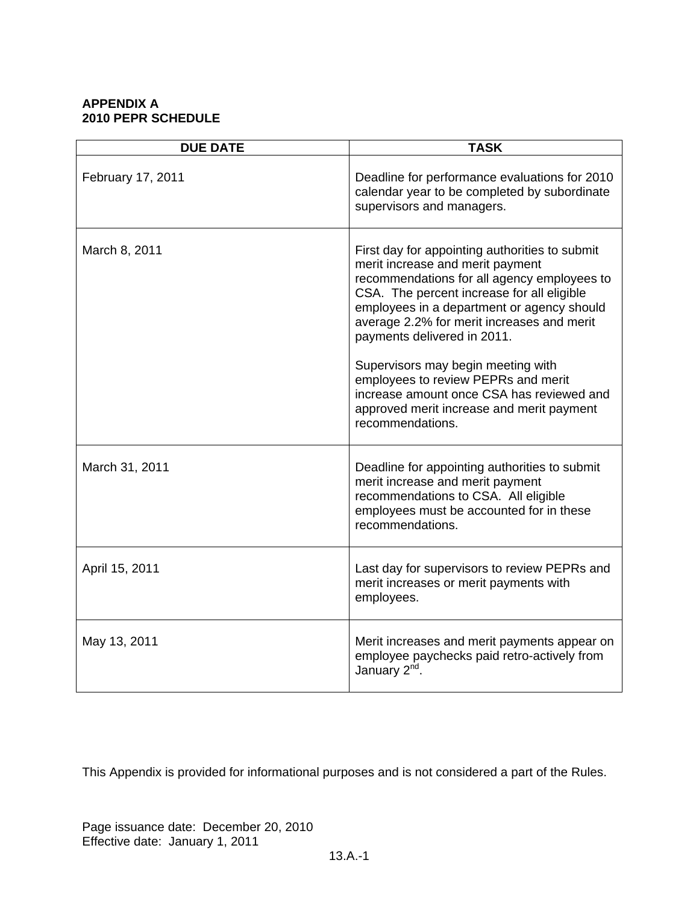### **APPENDIX A 2010 PEPR SCHEDULE**

| <b>DUE DATE</b>   | <b>TASK</b>                                                                                                                                                                                                                                                                                                                                                                                                                          |
|-------------------|--------------------------------------------------------------------------------------------------------------------------------------------------------------------------------------------------------------------------------------------------------------------------------------------------------------------------------------------------------------------------------------------------------------------------------------|
| February 17, 2011 | Deadline for performance evaluations for 2010<br>calendar year to be completed by subordinate<br>supervisors and managers.                                                                                                                                                                                                                                                                                                           |
| March 8, 2011     | First day for appointing authorities to submit<br>merit increase and merit payment<br>recommendations for all agency employees to<br>CSA. The percent increase for all eligible<br>employees in a department or agency should<br>average 2.2% for merit increases and merit<br>payments delivered in 2011.<br>Supervisors may begin meeting with<br>employees to review PEPRs and merit<br>increase amount once CSA has reviewed and |
|                   | approved merit increase and merit payment<br>recommendations.                                                                                                                                                                                                                                                                                                                                                                        |
| March 31, 2011    | Deadline for appointing authorities to submit<br>merit increase and merit payment<br>recommendations to CSA. All eligible<br>employees must be accounted for in these<br>recommendations.                                                                                                                                                                                                                                            |
| April 15, 2011    | Last day for supervisors to review PEPRs and<br>merit increases or merit payments with<br>employees.                                                                                                                                                                                                                                                                                                                                 |
| May 13, 2011      | Merit increases and merit payments appear on<br>employee paychecks paid retro-actively from<br>January 2 <sup>nd</sup> .                                                                                                                                                                                                                                                                                                             |

This Appendix is provided for informational purposes and is not considered a part of the Rules.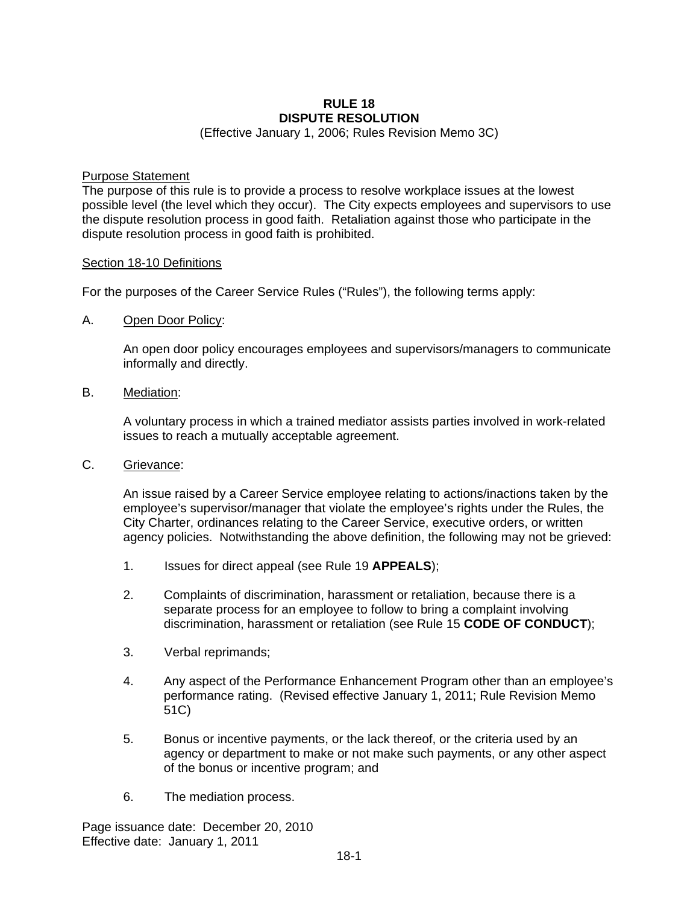### **RULE 18 DISPUTE RESOLUTION**

(Effective January 1, 2006; Rules Revision Memo 3C)

#### Purpose Statement

The purpose of this rule is to provide a process to resolve workplace issues at the lowest possible level (the level which they occur). The City expects employees and supervisors to use the dispute resolution process in good faith. Retaliation against those who participate in the dispute resolution process in good faith is prohibited.

#### Section 18-10 Definitions

For the purposes of the Career Service Rules ("Rules"), the following terms apply:

A. Open Door Policy:

An open door policy encourages employees and supervisors/managers to communicate informally and directly.

B. Mediation:

A voluntary process in which a trained mediator assists parties involved in work-related issues to reach a mutually acceptable agreement.

C. Grievance:

An issue raised by a Career Service employee relating to actions/inactions taken by the employee's supervisor/manager that violate the employee's rights under the Rules, the City Charter, ordinances relating to the Career Service, executive orders, or written agency policies. Notwithstanding the above definition, the following may not be grieved:

- 1. Issues for direct appeal (see Rule 19 **APPEALS**);
- 2. Complaints of discrimination, harassment or retaliation, because there is a separate process for an employee to follow to bring a complaint involving discrimination, harassment or retaliation (see Rule 15 **CODE OF CONDUCT**);
- 3. Verbal reprimands;
- 4. Any aspect of the Performance Enhancement Program other than an employee's performance rating. (Revised effective January 1, 2011; Rule Revision Memo 51C)
- 5. Bonus or incentive payments, or the lack thereof, or the criteria used by an agency or department to make or not make such payments, or any other aspect of the bonus or incentive program; and
- 6. The mediation process.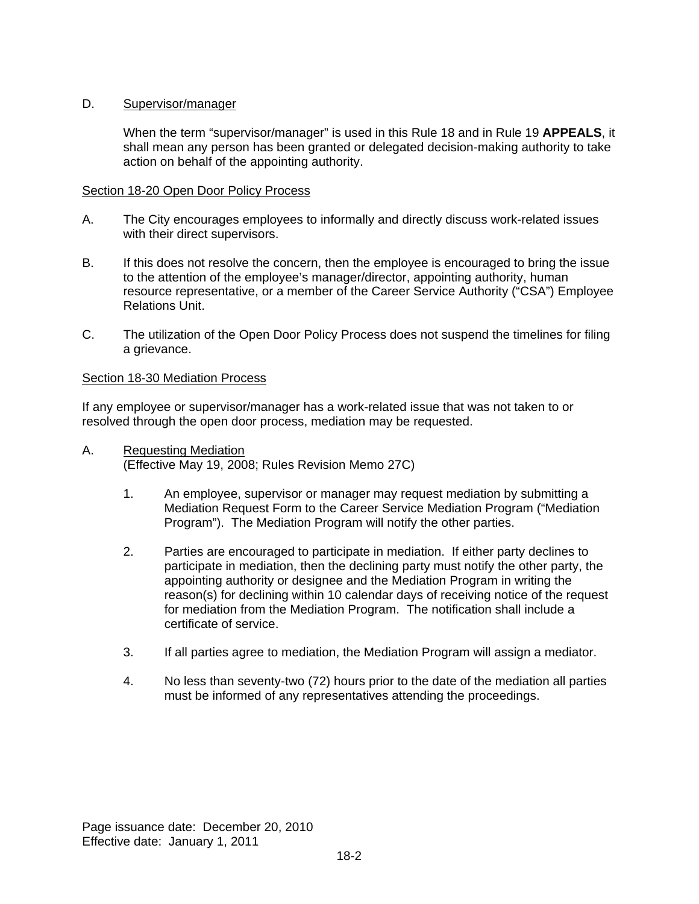# D. Supervisor/manager

When the term "supervisor/manager" is used in this Rule 18 and in Rule 19 **APPEALS**, it shall mean any person has been granted or delegated decision-making authority to take action on behalf of the appointing authority.

#### Section 18-20 Open Door Policy Process

- A. The City encourages employees to informally and directly discuss work-related issues with their direct supervisors.
- B. If this does not resolve the concern, then the employee is encouraged to bring the issue to the attention of the employee's manager/director, appointing authority, human resource representative, or a member of the Career Service Authority ("CSA") Employee Relations Unit.
- C. The utilization of the Open Door Policy Process does not suspend the timelines for filing a grievance.

### Section 18-30 Mediation Process

If any employee or supervisor/manager has a work-related issue that was not taken to or resolved through the open door process, mediation may be requested.

- A. Requesting Mediation (Effective May 19, 2008; Rules Revision Memo 27C)
	- 1. An employee, supervisor or manager may request mediation by submitting a Mediation Request Form to the Career Service Mediation Program ("Mediation Program"). The Mediation Program will notify the other parties.
	- 2. Parties are encouraged to participate in mediation. If either party declines to participate in mediation, then the declining party must notify the other party, the appointing authority or designee and the Mediation Program in writing the reason(s) for declining within 10 calendar days of receiving notice of the request for mediation from the Mediation Program. The notification shall include a certificate of service.
	- 3. If all parties agree to mediation, the Mediation Program will assign a mediator.
	- 4. No less than seventy-two (72) hours prior to the date of the mediation all parties must be informed of any representatives attending the proceedings.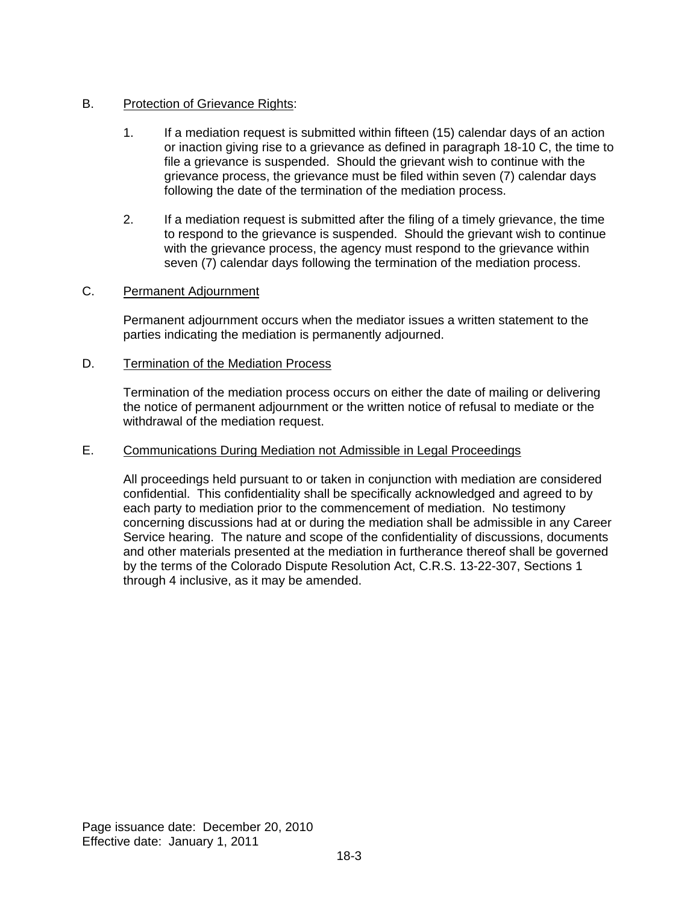# B. Protection of Grievance Rights:

- 1. If a mediation request is submitted within fifteen (15) calendar days of an action or inaction giving rise to a grievance as defined in paragraph 18-10 C, the time to file a grievance is suspended. Should the grievant wish to continue with the grievance process, the grievance must be filed within seven (7) calendar days following the date of the termination of the mediation process.
- 2. If a mediation request is submitted after the filing of a timely grievance, the time to respond to the grievance is suspended. Should the grievant wish to continue with the grievance process, the agency must respond to the grievance within seven (7) calendar days following the termination of the mediation process.

# C. Permanent Adjournment

Permanent adjournment occurs when the mediator issues a written statement to the parties indicating the mediation is permanently adjourned.

### D. Termination of the Mediation Process

Termination of the mediation process occurs on either the date of mailing or delivering the notice of permanent adjournment or the written notice of refusal to mediate or the withdrawal of the mediation request.

#### E. Communications During Mediation not Admissible in Legal Proceedings

All proceedings held pursuant to or taken in conjunction with mediation are considered confidential. This confidentiality shall be specifically acknowledged and agreed to by each party to mediation prior to the commencement of mediation. No testimony concerning discussions had at or during the mediation shall be admissible in any Career Service hearing. The nature and scope of the confidentiality of discussions, documents and other materials presented at the mediation in furtherance thereof shall be governed by the terms of the Colorado Dispute Resolution Act, C.R.S. 13-22-307, Sections 1 through 4 inclusive, as it may be amended.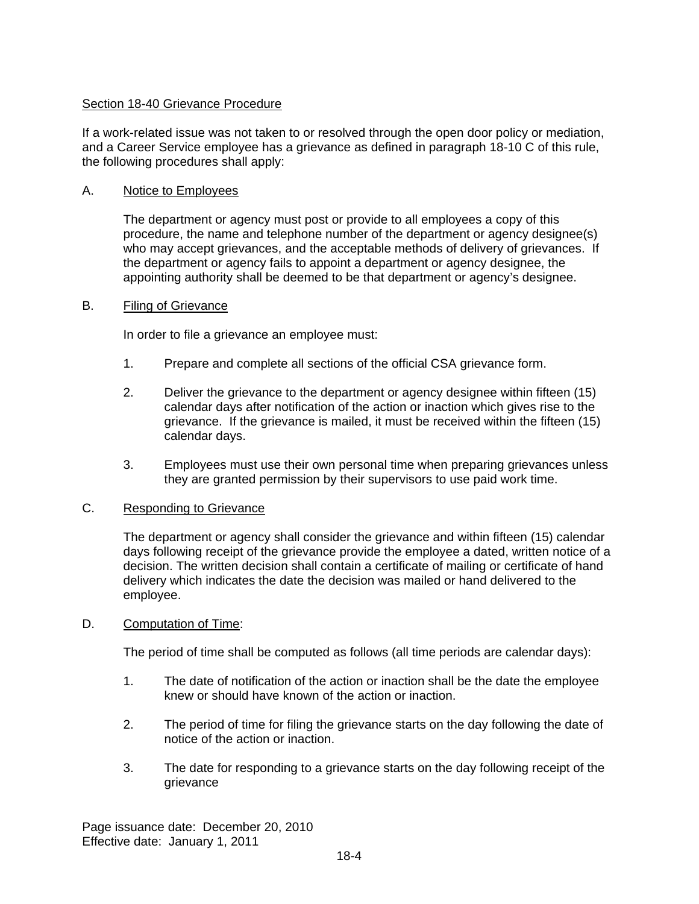# Section 18-40 Grievance Procedure

If a work-related issue was not taken to or resolved through the open door policy or mediation, and a Career Service employee has a grievance as defined in paragraph 18-10 C of this rule, the following procedures shall apply:

### A. Notice to Employees

The department or agency must post or provide to all employees a copy of this procedure, the name and telephone number of the department or agency designee(s) who may accept grievances, and the acceptable methods of delivery of grievances. If the department or agency fails to appoint a department or agency designee, the appointing authority shall be deemed to be that department or agency's designee.

#### B. Filing of Grievance

In order to file a grievance an employee must:

- 1. Prepare and complete all sections of the official CSA grievance form.
- 2. Deliver the grievance to the department or agency designee within fifteen (15) calendar days after notification of the action or inaction which gives rise to the grievance. If the grievance is mailed, it must be received within the fifteen (15) calendar days.
- 3. Employees must use their own personal time when preparing grievances unless they are granted permission by their supervisors to use paid work time.

### C. Responding to Grievance

The department or agency shall consider the grievance and within fifteen (15) calendar days following receipt of the grievance provide the employee a dated, written notice of a decision. The written decision shall contain a certificate of mailing or certificate of hand delivery which indicates the date the decision was mailed or hand delivered to the employee.

#### D. Computation of Time:

The period of time shall be computed as follows (all time periods are calendar days):

- 1. The date of notification of the action or inaction shall be the date the employee knew or should have known of the action or inaction.
- 2. The period of time for filing the grievance starts on the day following the date of notice of the action or inaction.
- 3. The date for responding to a grievance starts on the day following receipt of the grievance